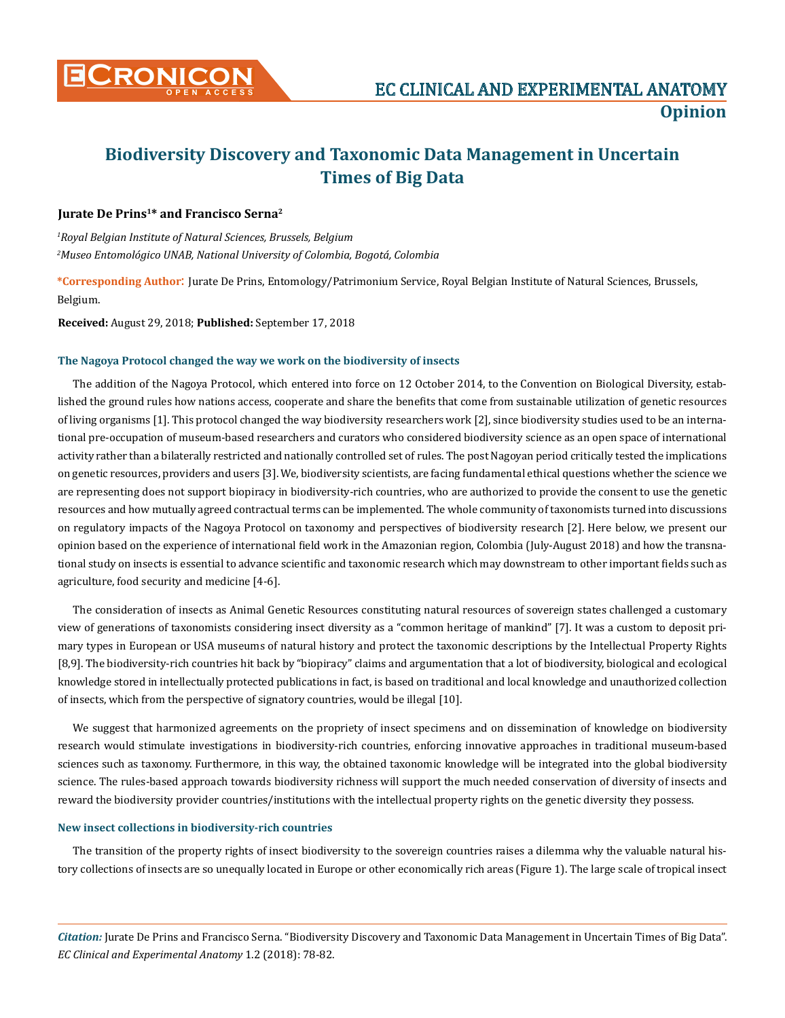

# **Biodiversity Discovery and Taxonomic Data Management in Uncertain Times of Big Data**

## **Jurate De Prins1\* and Francisco Serna2**

*1 Royal Belgian Institute of Natural Sciences, Brussels, Belgium 2 Museo Entomológico UNAB, National University of Colombia, Bogotá, Colombia* 

**\*Corresponding Author**: Jurate De Prins, Entomology/Patrimonium Service, Royal Belgian Institute of Natural Sciences, Brussels, Belgium.

**Received:** August 29, 2018; **Published:** September 17, 2018

## **The Nagoya Protocol changed the way we work on the biodiversity of insects**

The addition of the Nagoya Protocol, which entered into force on 12 October 2014, to the Convention on Biological Diversity, established the ground rules how nations access, cooperate and share the benefits that come from sustainable utilization of genetic resources of living organisms [1]. This protocol changed the way biodiversity researchers work [2], since biodiversity studies used to be an international pre-occupation of museum-based researchers and curators who considered biodiversity science as an open space of international activity rather than a bilaterally restricted and nationally controlled set of rules. The post Nagoyan period critically tested the implications on genetic resources, providers and users [3]. We, biodiversity scientists, are facing fundamental ethical questions whether the science we are representing does not support biopiracy in biodiversity-rich countries, who are authorized to provide the consent to use the genetic resources and how mutually agreed contractual terms can be implemented. The whole community of taxonomists turned into discussions on regulatory impacts of the Nagoya Protocol on taxonomy and perspectives of biodiversity research [2]. Here below, we present our opinion based on the experience of international field work in the Amazonian region, Colombia (July-August 2018) and how the transnational study on insects is essential to advance scientific and taxonomic research which may downstream to other important fields such as agriculture, food security and medicine [4-6].

The consideration of insects as Animal Genetic Resources constituting natural resources of sovereign states challenged a customary view of generations of taxonomists considering insect diversity as a "common heritage of mankind" [7]. It was a custom to deposit primary types in European or USA museums of natural history and protect the taxonomic descriptions by the Intellectual Property Rights [8,9]. The biodiversity-rich countries hit back by "biopiracy" claims and argumentation that a lot of biodiversity, biological and ecological knowledge stored in intellectually protected publications in fact, is based on traditional and local knowledge and unauthorized collection of insects, which from the perspective of signatory countries, would be illegal [10].

We suggest that harmonized agreements on the propriety of insect specimens and on dissemination of knowledge on biodiversity research would stimulate investigations in biodiversity-rich countries, enforcing innovative approaches in traditional museum-based sciences such as taxonomy. Furthermore, in this way, the obtained taxonomic knowledge will be integrated into the global biodiversity science. The rules-based approach towards biodiversity richness will support the much needed conservation of diversity of insects and reward the biodiversity provider countries/institutions with the intellectual property rights on the genetic diversity they possess.

### **New insect collections in biodiversity-rich countries**

The transition of the property rights of insect biodiversity to the sovereign countries raises a dilemma why the valuable natural history collections of insects are so unequally located in Europe or other economically rich areas (Figure 1). The large scale of tropical insect

*Citation:* Jurate De Prins and Francisco Serna. "Biodiversity Discovery and Taxonomic Data Management in Uncertain Times of Big Data". *EC Clinical and Experimental Anatomy* 1.2 (2018): 78-82.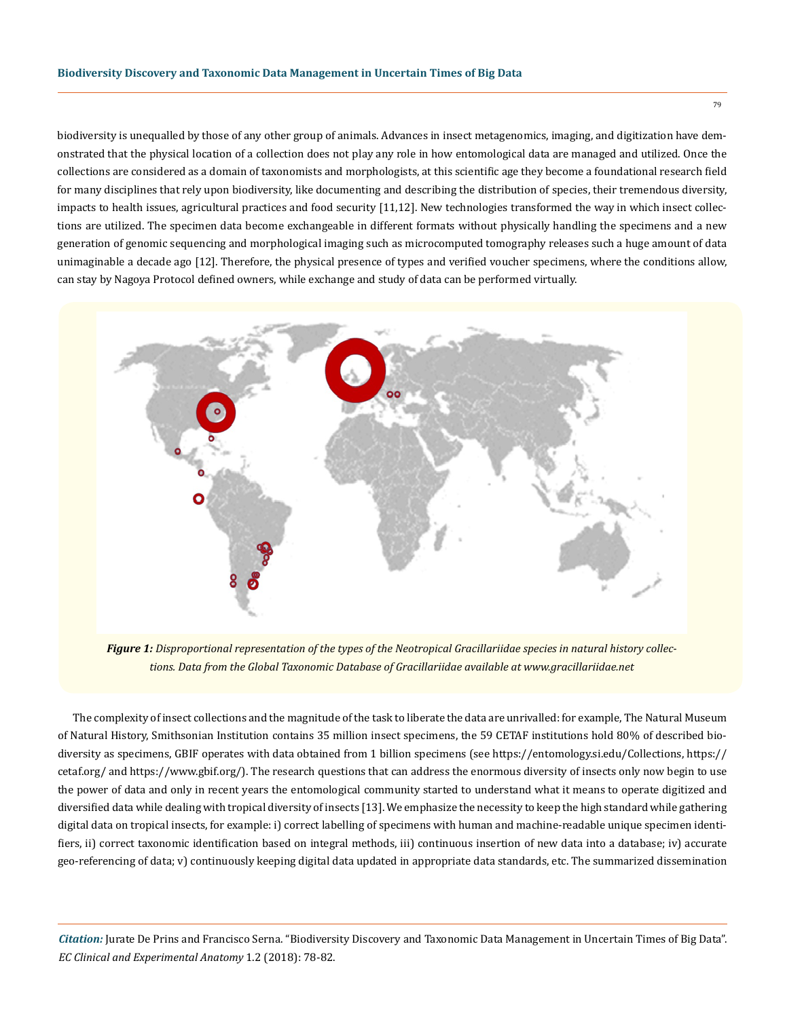biodiversity is unequalled by those of any other group of animals. Advances in insect metagenomics, imaging, and digitization have demonstrated that the physical location of a collection does not play any role in how entomological data are managed and utilized. Once the collections are considered as a domain of taxonomists and morphologists, at this scientific age they become a foundational research field for many disciplines that rely upon biodiversity, like documenting and describing the distribution of species, their tremendous diversity, impacts to health issues, agricultural practices and food security [11,12]. New technologies transformed the way in which insect collections are utilized. The specimen data become exchangeable in different formats without physically handling the specimens and a new generation of genomic sequencing and morphological imaging such as microcomputed tomography releases such a huge amount of data unimaginable a decade ago [12]. Therefore, the physical presence of types and verified voucher specimens, where the conditions allow, can stay by Nagoya Protocol defined owners, while exchange and study of data can be performed virtually.



*Figure 1: Disproportional representation of the types of the Neotropical Gracillariidae species in natural history collections. Data from the Global Taxonomic Database of Gracillariidae available at www.gracillariidae.net*

The complexity of insect collections and the magnitude of the task to liberate the data are unrivalled: for example, The Natural Museum of Natural History, Smithsonian Institution contains 35 million insect specimens, the 59 CETAF institutions hold 80% of described biodiversity as specimens, GBIF operates with data obtained from 1 billion specimens (see [https://entomology.si.edu/Collections,](https://entomology.si.edu/Collections) [https://](https://cetaf.org/) [cetaf.org/](https://cetaf.org/) and<https://www.gbif.org/>). The research questions that can address the enormous diversity of insects only now begin to use the power of data and only in recent years the entomological community started to understand what it means to operate digitized and diversified data while dealing with tropical diversity of insects [13]. We emphasize the necessity to keep the high standard while gathering digital data on tropical insects, for example: i) correct labelling of specimens with human and machine-readable unique specimen identifiers, ii) correct taxonomic identification based on integral methods, iii) continuous insertion of new data into a database; iv) accurate geo-referencing of data; v) continuously keeping digital data updated in appropriate data standards, etc. The summarized dissemination

*Citation:* Jurate De Prins and Francisco Serna. "Biodiversity Discovery and Taxonomic Data Management in Uncertain Times of Big Data". *EC Clinical and Experimental Anatomy* 1.2 (2018): 78-82.

79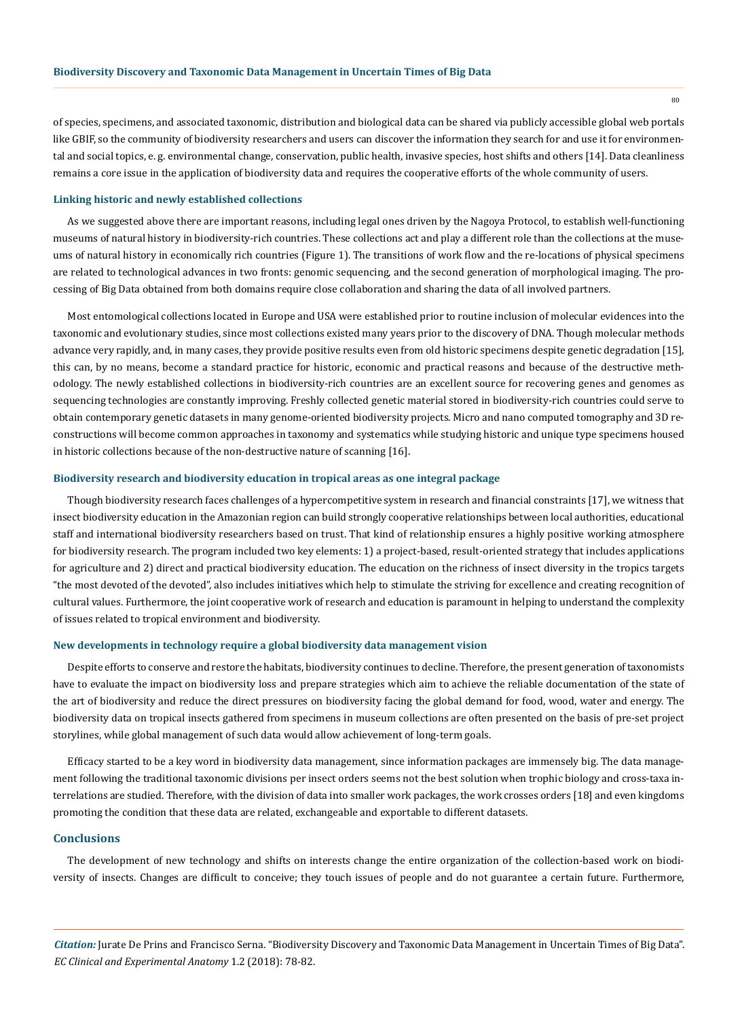of species, specimens, and associated taxonomic, distribution and biological data can be shared via publicly accessible global web portals like GBIF, so the community of biodiversity researchers and users can discover the information they search for and use it for environmental and social topics, e. g. environmental change, conservation, public health, invasive species, host shifts and others [14]. Data cleanliness remains a core issue in the application of biodiversity data and requires the cooperative efforts of the whole community of users.

#### **Linking historic and newly established collections**

As we suggested above there are important reasons, including legal ones driven by the Nagoya Protocol, to establish well-functioning museums of natural history in biodiversity-rich countries. These collections act and play a different role than the collections at the museums of natural history in economically rich countries (Figure 1). The transitions of work flow and the re-locations of physical specimens are related to technological advances in two fronts: genomic sequencing, and the second generation of morphological imaging. The processing of Big Data obtained from both domains require close collaboration and sharing the data of all involved partners.

Most entomological collections located in Europe and USA were established prior to routine inclusion of molecular evidences into the taxonomic and evolutionary studies, since most collections existed many years prior to the discovery of DNA. Though molecular methods advance very rapidly, and, in many cases, they provide positive results even from old historic specimens despite genetic degradation [15], this can, by no means, become a standard practice for historic, economic and practical reasons and because of the destructive methodology. The newly established collections in biodiversity-rich countries are an excellent source for recovering genes and genomes as sequencing technologies are constantly improving. Freshly collected genetic material stored in biodiversity-rich countries could serve to obtain contemporary genetic datasets in many genome-oriented biodiversity projects. Micro and nano computed tomography and 3D reconstructions will become common approaches in taxonomy and systematics while studying historic and unique type specimens housed in historic collections because of the non-destructive nature of scanning [16].

#### **Biodiversity research and biodiversity education in tropical areas as one integral package**

Though biodiversity research faces challenges of a hypercompetitive system in research and financial constraints [17], we witness that insect biodiversity education in the Amazonian region can build strongly cooperative relationships between local authorities, educational staff and international biodiversity researchers based on trust. That kind of relationship ensures a highly positive working atmosphere for biodiversity research. The program included two key elements: 1) a project-based, result-oriented strategy that includes applications for agriculture and 2) direct and practical biodiversity education. The education on the richness of insect diversity in the tropics targets "the most devoted of the devoted", also includes initiatives which help to stimulate the striving for excellence and creating recognition of cultural values. Furthermore, the joint cooperative work of research and education is paramount in helping to understand the complexity of issues related to tropical environment and biodiversity.

#### **New developments in technology require a global biodiversity data management vision**

Despite efforts to conserve and restore the habitats, biodiversity continues to decline. Therefore, the present generation of taxonomists have to evaluate the impact on biodiversity loss and prepare strategies which aim to achieve the reliable documentation of the state of the art of biodiversity and reduce the direct pressures on biodiversity facing the global demand for food, wood, water and energy. The biodiversity data on tropical insects gathered from specimens in museum collections are often presented on the basis of pre-set project storylines, while global management of such data would allow achievement of long-term goals.

Efficacy started to be a key word in biodiversity data management, since information packages are immensely big. The data management following the traditional taxonomic divisions per insect orders seems not the best solution when trophic biology and cross-taxa interrelations are studied. Therefore, with the division of data into smaller work packages, the work crosses orders [18] and even kingdoms promoting the condition that these data are related, exchangeable and exportable to different datasets.

#### **Conclusions**

The development of new technology and shifts on interests change the entire organization of the collection-based work on biodiversity of insects. Changes are difficult to conceive; they touch issues of people and do not guarantee a certain future. Furthermore,

80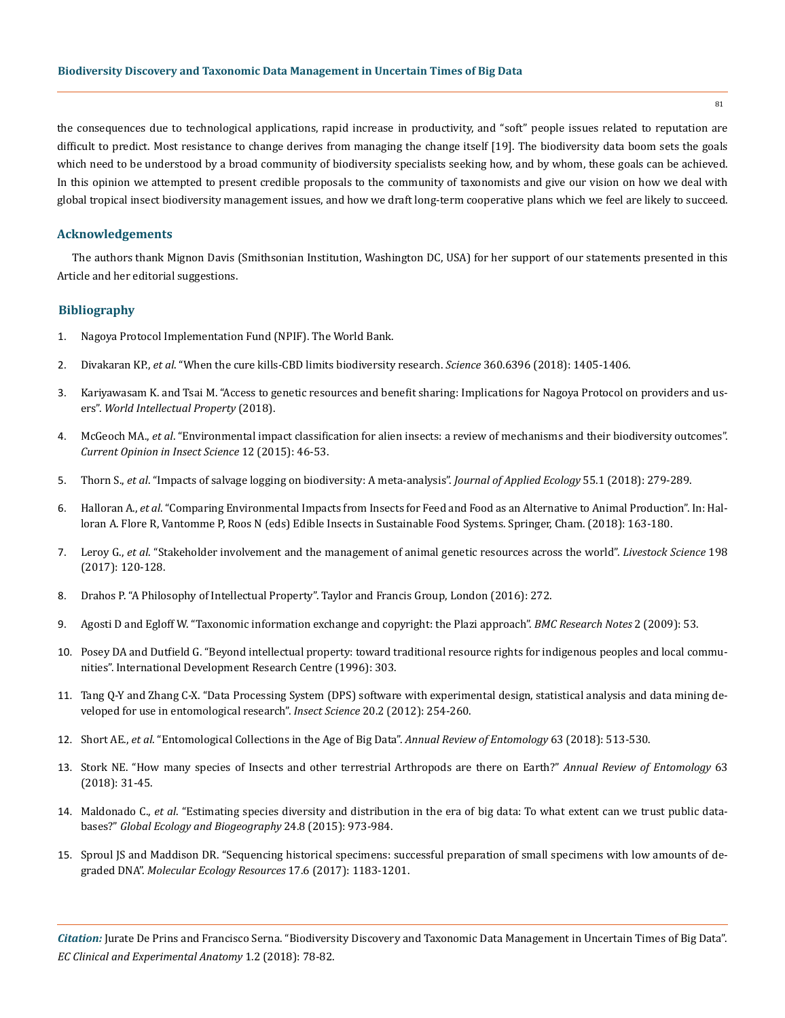the consequences due to technological applications, rapid increase in productivity, and "soft" people issues related to reputation are difficult to predict. Most resistance to change derives from managing the change itself [19]. The biodiversity data boom sets the goals which need to be understood by a broad community of biodiversity specialists seeking how, and by whom, these goals can be achieved. In this opinion we attempted to present credible proposals to the community of taxonomists and give our vision on how we deal with global tropical insect biodiversity management issues, and how we draft long-term cooperative plans which we feel are likely to succeed.

### **Acknowledgements**

The authors thank Mignon Davis (Smithsonian Institution, Washington DC, USA) for her support of our statements presented in this Article and her editorial suggestions.

### **Bibliography**

- 1. [Nagoya Protocol Implementation Fund \(NPIF\). The World Bank.](http://fiftrustee.worldbank.org/Pages/npif.aspx)
- 2. Divakaran KP., *et al*[. "When the cure kills-CBD limits biodiversity research.](https://www.ncbi.nlm.nih.gov/pubmed/29954970) *Science* 360.6396 (2018): 1405-1406.
- 3. [Kariyawasam K. and Tsai M. "Access to genetic resources and benefit sharing: Implications for Nagoya Protocol on providers and us](https://onlinelibrary.wiley.com/doi/abs/10.1111/jwip.12095)ers". *[World Intellectual Property](https://onlinelibrary.wiley.com/doi/abs/10.1111/jwip.12095)* (2018).
- 4. McGeoch MA., *et al*[. "Environmental impact classification for alien insects: a review of mechanisms and their biodiversity outcomes".](https://www.sciencedirect.com/science/article/pii/S2214574515001352)  *[Current Opinion in Insect Science](https://www.sciencedirect.com/science/article/pii/S2214574515001352)* 12 (2015): 46-53.
- 5. Thorn S., *et al*[. "Impacts of salvage logging on biodiversity: A meta-analysis".](https://besjournals.onlinelibrary.wiley.com/doi/10.1111/1365-2664.12945) *Journal of Applied Ecology* 55.1 (2018): 279-289.
- 6. Halloran A., *et al*[. "Comparing Environmental Impacts from Insects for Feed and Food as an Alternative to Animal Production". In: Hal](https://link.springer.com/chapter/10.1007/978-3-319-74011-9_11)[loran A. Flore R, Vantomme P, Roos N \(eds\) Edible Insects in Sustainable Food Systems. Springer, Cham. \(2018\): 163-180.](https://link.springer.com/chapter/10.1007/978-3-319-74011-9_11)
- 7. Leroy G., *et al*[. "Stakeholder involvement and the management of animal genetic resources across the world".](https://www.sciencedirect.com/science/article/pii/S1871141317300562) *Livestock Science* 198 [\(2017\): 120-128.](https://www.sciencedirect.com/science/article/pii/S1871141317300562)
- 8. Drahos P. "A Philosophy of Intellectual Property". Taylor and Francis Group, London (2016): 272.
- 9. [Agosti D and Egloff W. "Taxonomic information exchange and copyright: the Plazi approach".](https://www.ncbi.nlm.nih.gov/pubmed/19331688) *BMC Research Notes* 2 (2009): 53.
- 10. [Posey DA and Dutfield G. "Beyond intellectual property: toward traditional resource rights for indigenous peoples and local commu](http://lib.icimod.org/record/10010/files/1393.pdf)[nities". International Development Research Centre \(1996\): 303.](http://lib.icimod.org/record/10010/files/1393.pdf)
- 11. [Tang Q-Y and Zhang C-X. "Data Processing System \(DPS\) software with experimental design, statistical analysis and data mining de](https://www.ncbi.nlm.nih.gov/pubmed/23955865)[veloped for use in entomological research".](https://www.ncbi.nlm.nih.gov/pubmed/23955865) *Insect Science* 20.2 (2012): 254-260.
- 12. Short AE., *et al*[. "Entomological Collections in the Age of Big Data".](https://www.ncbi.nlm.nih.gov/pubmed/29058981) *Annual Review of Entomology* 63 (2018): 513-530.
- 13. [Stork NE. "How many species of Insects and other terrestrial Arthropods are there on Earth?"](https://www.ncbi.nlm.nih.gov/pubmed/28938083) *Annual Review of Entomology* 63 [\(2018\): 31-45.](https://www.ncbi.nlm.nih.gov/pubmed/28938083)
- 14. Maldonado C., *et al*[. "Estimating species diversity and distribution in the era of big data: To what extent can we trust public data](https://www.ncbi.nlm.nih.gov/pubmed/27656106)bases?" *[Global Ecology and Biogeography](https://www.ncbi.nlm.nih.gov/pubmed/27656106)* 24.8 (2015): 973-984.
- 15. [Sproul JS and Maddison DR. "Sequencing historical specimens: successful preparation of small specimens with low amounts of de](https://www.ncbi.nlm.nih.gov/pubmed/28199781)graded DNA". *[Molecular Ecology Resources](https://www.ncbi.nlm.nih.gov/pubmed/28199781)* 17.6 (2017): 1183-1201.

*Citation:* Jurate De Prins and Francisco Serna. "Biodiversity Discovery and Taxonomic Data Management in Uncertain Times of Big Data". *EC Clinical and Experimental Anatomy* 1.2 (2018): 78-82.

81